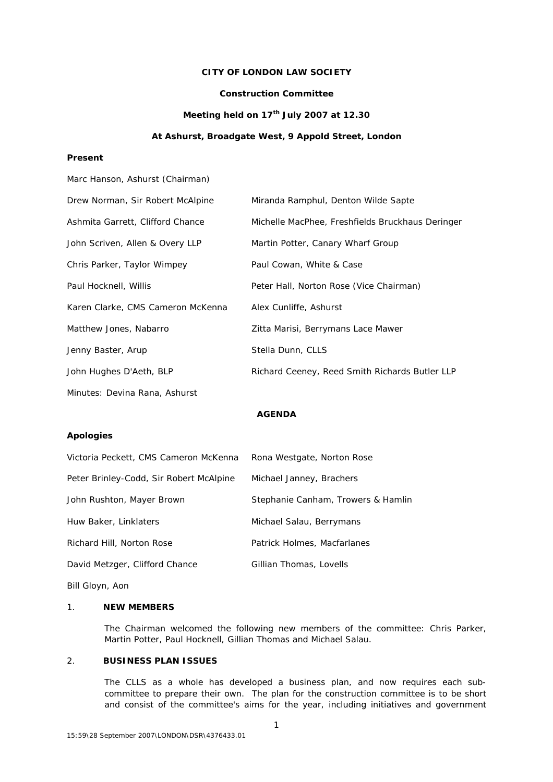# **CITY OF LONDON LAW SOCIETY**

# **Construction Committee**

# **Meeting held on 17th July 2007 at 12.30**

#### **At Ashurst, Broadgate West, 9 Appold Street, London**

# **Present**

| Marc Hanson, Ashurst (Chairman)   |                                                  |
|-----------------------------------|--------------------------------------------------|
| Drew Norman, Sir Robert McAlpine  | Miranda Ramphul, Denton Wilde Sapte              |
| Ashmita Garrett, Clifford Chance  | Michelle MacPhee, Freshfields Bruckhaus Deringer |
| John Scriven, Allen & Overy LLP   | Martin Potter, Canary Wharf Group                |
| Chris Parker, Taylor Wimpey       | Paul Cowan, White & Case                         |
| Paul Hocknell, Willis             | Peter Hall, Norton Rose (Vice Chairman)          |
| Karen Clarke, CMS Cameron McKenna | Alex Cunliffe, Ashurst                           |
| Matthew Jones, Nabarro            | Zitta Marisi, Berrymans Lace Mawer               |
| Jenny Baster, Arup                | Stella Dunn, CLLS                                |
| John Hughes D'Aeth, BLP           | Richard Ceeney, Reed Smith Richards Butler LLP   |
| Minutes: Devina Rana, Ashurst     |                                                  |

# **AGENDA**

#### **Apologies**

| Victoria Peckett, CMS Cameron McKenna   | Rona Westgate, Norton Rose         |
|-----------------------------------------|------------------------------------|
| Peter Brinley-Codd, Sir Robert McAlpine | Michael Janney, Brachers           |
| John Rushton, Mayer Brown               | Stephanie Canham, Trowers & Hamlin |
| Huw Baker, Linklaters                   | Michael Salau, Berrymans           |
| Richard Hill, Norton Rose               | Patrick Holmes, Macfarlanes        |
| David Metzger, Clifford Chance          | Gillian Thomas, Lovells            |
| Bill Gloyn, Aon                         |                                    |

#### 1. **NEW MEMBERS**

The Chairman welcomed the following new members of the committee: Chris Parker, Martin Potter, Paul Hocknell, Gillian Thomas and Michael Salau.

### 2. **BUSINESS PLAN ISSUES**

The CLLS as a whole has developed a business plan, and now requires each subcommittee to prepare their own. The plan for the construction committee is to be short and consist of the committee's aims for the year, including initiatives and government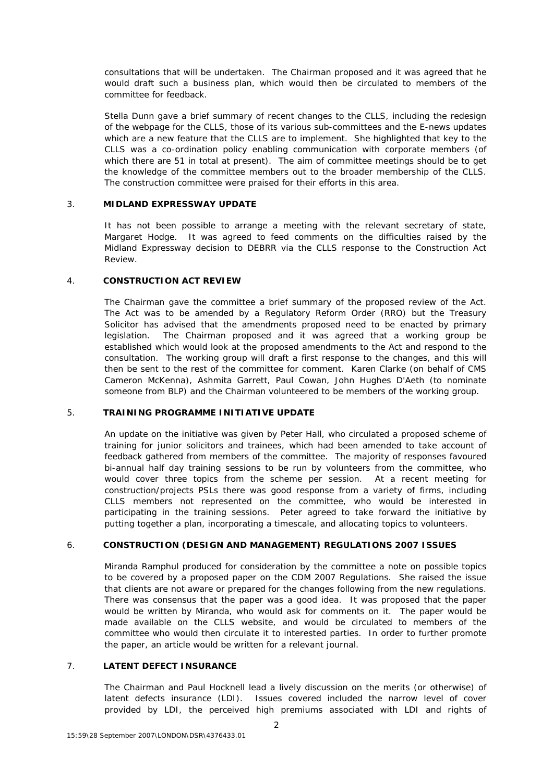consultations that will be undertaken. The Chairman proposed and it was agreed that he would draft such a business plan, which would then be circulated to members of the committee for feedback.

Stella Dunn gave a brief summary of recent changes to the CLLS, including the redesign of the webpage for the CLLS, those of its various sub-committees and the E-news updates which are a new feature that the CLLS are to implement. She highlighted that key to the CLLS was a co-ordination policy enabling communication with corporate members (of which there are 51 in total at present). The aim of committee meetings should be to get the knowledge of the committee members out to the broader membership of the CLLS. The construction committee were praised for their efforts in this area.

### 3. **MIDLAND EXPRESSWAY UPDATE**

It has not been possible to arrange a meeting with the relevant secretary of state, Margaret Hodge. It was agreed to feed comments on the difficulties raised by the Midland Expressway decision to DEBRR via the CLLS response to the Construction Act Review.

## 4. **CONSTRUCTION ACT REVIEW**

The Chairman gave the committee a brief summary of the proposed review of the Act. The Act was to be amended by a Regulatory Reform Order (RRO) but the Treasury Solicitor has advised that the amendments proposed need to be enacted by primary legislation. The Chairman proposed and it was agreed that a working group be established which would look at the proposed amendments to the Act and respond to the consultation. The working group will draft a first response to the changes, and this will then be sent to the rest of the committee for comment. Karen Clarke (on behalf of CMS Cameron McKenna), Ashmita Garrett, Paul Cowan, John Hughes D'Aeth (to nominate someone from BLP) and the Chairman volunteered to be members of the working group.

# 5. **TRAINING PROGRAMME INITIATIVE UPDATE**

An update on the initiative was given by Peter Hall, who circulated a proposed scheme of training for junior solicitors and trainees, which had been amended to take account of feedback gathered from members of the committee. The majority of responses favoured bi-annual half day training sessions to be run by volunteers from the committee, who would cover three topics from the scheme per session. At a recent meeting for construction/projects PSLs there was good response from a variety of firms, including CLLS members not represented on the committee, who would be interested in participating in the training sessions. Peter agreed to take forward the initiative by putting together a plan, incorporating a timescale, and allocating topics to volunteers.

# 6. **CONSTRUCTION (DESIGN AND MANAGEMENT) REGULATIONS 2007 ISSUES**

Miranda Ramphul produced for consideration by the committee a note on possible topics to be covered by a proposed paper on the CDM 2007 Regulations. She raised the issue that clients are not aware or prepared for the changes following from the new regulations. There was consensus that the paper was a good idea. It was proposed that the paper would be written by Miranda, who would ask for comments on it. The paper would be made available on the CLLS website, and would be circulated to members of the committee who would then circulate it to interested parties. In order to further promote the paper, an article would be written for a relevant journal.

# 7. **LATENT DEFECT INSURANCE**

The Chairman and Paul Hocknell lead a lively discussion on the merits (or otherwise) of latent defects insurance (LDI). Issues covered included the narrow level of cover provided by LDI, the perceived high premiums associated with LDI and rights of